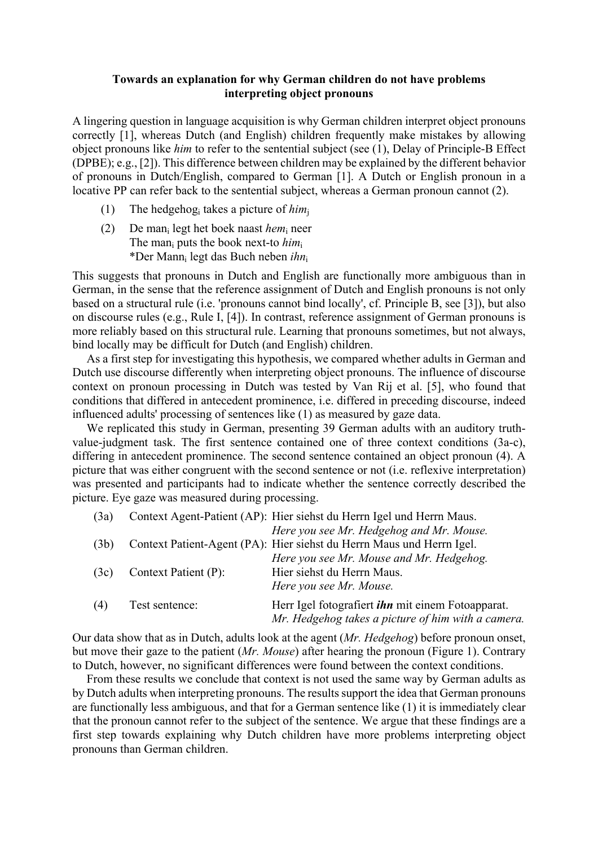## **Towards an explanation for why German children do not have problems interpreting object pronouns**

A lingering question in language acquisition is why German children interpret object pronouns correctly [1], whereas Dutch (and English) children frequently make mistakes by allowing object pronouns like *him* to refer to the sentential subject (see (1), Delay of Principle-B Effect (DPBE); e.g., [2]). This difference between children may be explained by the different behavior of pronouns in Dutch/English, compared to German [1]. A Dutch or English pronoun in a locative PP can refer back to the sentential subject, whereas a German pronoun cannot (2).

- (1) The hedgehogi takes a picture of *him*<sup>j</sup>
- (2) De mani legt het boek naast *hem*<sup>i</sup> neer The mani puts the book next-to *him*<sup>i</sup> \*Der Manni legt das Buch neben *ihn*<sup>i</sup>

This suggests that pronouns in Dutch and English are functionally more ambiguous than in German, in the sense that the reference assignment of Dutch and English pronouns is not only based on a structural rule (i.e. 'pronouns cannot bind locally', cf. Principle B, see [3]), but also on discourse rules (e.g., Rule I, [4]). In contrast, reference assignment of German pronouns is more reliably based on this structural rule. Learning that pronouns sometimes, but not always, bind locally may be difficult for Dutch (and English) children.

As a first step for investigating this hypothesis, we compared whether adults in German and Dutch use discourse differently when interpreting object pronouns. The influence of discourse context on pronoun processing in Dutch was tested by Van Rij et al. [5], who found that conditions that differed in antecedent prominence, i.e. differed in preceding discourse, indeed influenced adults' processing of sentences like (1) as measured by gaze data.

We replicated this study in German, presenting 39 German adults with an auditory truthvalue-judgment task. The first sentence contained one of three context conditions (3a-c), differing in antecedent prominence. The second sentence contained an object pronoun (4). A picture that was either congruent with the second sentence or not (i.e. reflexive interpretation) was presented and participants had to indicate whether the sentence correctly described the picture. Eye gaze was measured during processing.

| (3a) |                      | Context Agent-Patient (AP): Hier siehst du Herrn Igel und Herrn Maus. |
|------|----------------------|-----------------------------------------------------------------------|
|      |                      | Here you see Mr. Hedgehog and Mr. Mouse.                              |
| (3b) |                      | Context Patient-Agent (PA): Hier siehst du Herrn Maus und Herrn Igel. |
|      |                      | Here you see Mr. Mouse and Mr. Hedgehog.                              |
| (3c) | Context Patient (P): | Hier siehst du Herrn Maus.                                            |
|      |                      | Here you see Mr. Mouse.                                               |
| (4)  | Test sentence:       | Herr Igel fotografiert <i>ihn</i> mit einem Fotoapparat.              |
|      |                      | Mr. Hedgehog takes a picture of him with a camera.                    |

Our data show that as in Dutch, adults look at the agent (*Mr. Hedgehog*) before pronoun onset, but move their gaze to the patient (*Mr. Mouse*) after hearing the pronoun (Figure 1). Contrary to Dutch, however, no significant differences were found between the context conditions.

From these results we conclude that context is not used the same way by German adults as by Dutch adults when interpreting pronouns. The results support the idea that German pronouns are functionally less ambiguous, and that for a German sentence like (1) it is immediately clear that the pronoun cannot refer to the subject of the sentence. We argue that these findings are a first step towards explaining why Dutch children have more problems interpreting object pronouns than German children.